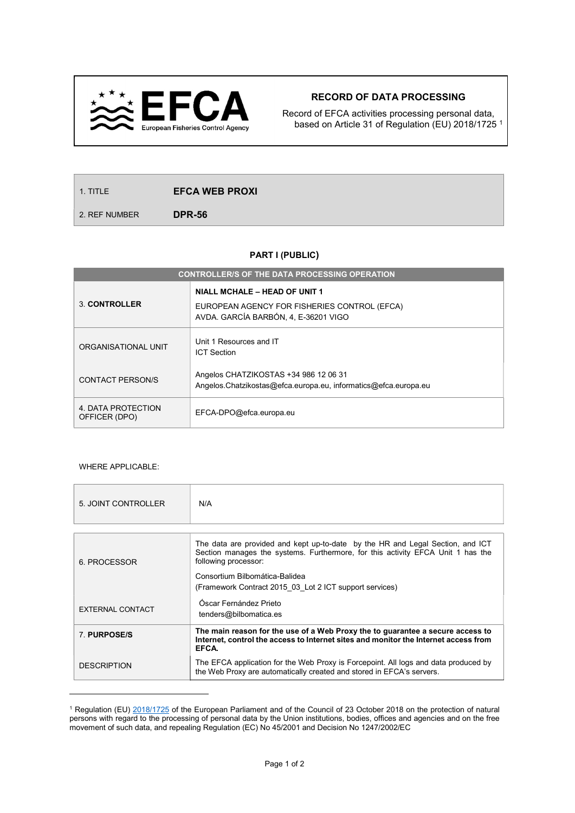

## RECORD OF DATA PROCESSING

Record of EFCA activities processing personal data, based on Article 31 of Regulation (EU) 2018/1725 <sup>1</sup>

2. REF NUMBER **DPR-56** 

## PART I (PUBLIC)

| <b>CONTROLLER/S OF THE DATA PROCESSING OPERATION</b> |                                                                                                                       |  |
|------------------------------------------------------|-----------------------------------------------------------------------------------------------------------------------|--|
| 3. CONTROLLER                                        | NIALL MCHALE - HEAD OF UNIT 1<br>EUROPEAN AGENCY FOR FISHERIES CONTROL (EFCA)<br>AVDA. GARCÍA BARBÓN, 4, E-36201 VIGO |  |
| ORGANISATIONAL UNIT                                  | Unit 1 Resources and IT<br><b>ICT Section</b>                                                                         |  |
| <b>CONTACT PERSON/S</b>                              | Angelos CHATZIKOSTAS +34 986 12 06 31<br>Angelos.Chatzikostas@efca.europa.eu, informatics@efca.europa.eu              |  |
| 4. DATA PROTECTION<br>OFFICER (DPO)                  | EFCA-DPO@efca.europa.eu                                                                                               |  |

## WHERE APPLICABLE:

 $\overline{a}$ 

| 5. JOINT CONTROLLER | N/A                                                                                                                                                                                       |  |  |
|---------------------|-------------------------------------------------------------------------------------------------------------------------------------------------------------------------------------------|--|--|
|                     |                                                                                                                                                                                           |  |  |
| 6. PROCESSOR        | The data are provided and kept up-to-date by the HR and Legal Section, and ICT<br>Section manages the systems. Furthermore, for this activity EFCA Unit 1 has the<br>following processor: |  |  |
|                     | Consortium Bilbomática-Balidea                                                                                                                                                            |  |  |
|                     | (Framework Contract 2015 03 Lot 2 ICT support services)                                                                                                                                   |  |  |
| EXTERNAL CONTACT    | Óscar Fernández Prieto<br>tenders@bilbomatica.es                                                                                                                                          |  |  |
| 7. PURPOSE/S        | The main reason for the use of a Web Proxy the to guarantee a secure access to<br>Internet, control the access to Internet sites and monitor the Internet access from<br>EFCA.            |  |  |
| <b>DESCRIPTION</b>  | The EFCA application for the Web Proxy is Forcepoint. All logs and data produced by<br>the Web Proxy are automatically created and stored in EFCA's servers.                              |  |  |

<sup>&</sup>lt;sup>1</sup> Regulation (EU) 2018/1725 of the European Parliament and of the Council of 23 October 2018 on the protection of natural persons with regard to the processing of personal data by the Union institutions, bodies, offices and agencies and on the free movement of such data, and repealing Regulation (EC) No 45/2001 and Decision No 1247/2002/EC